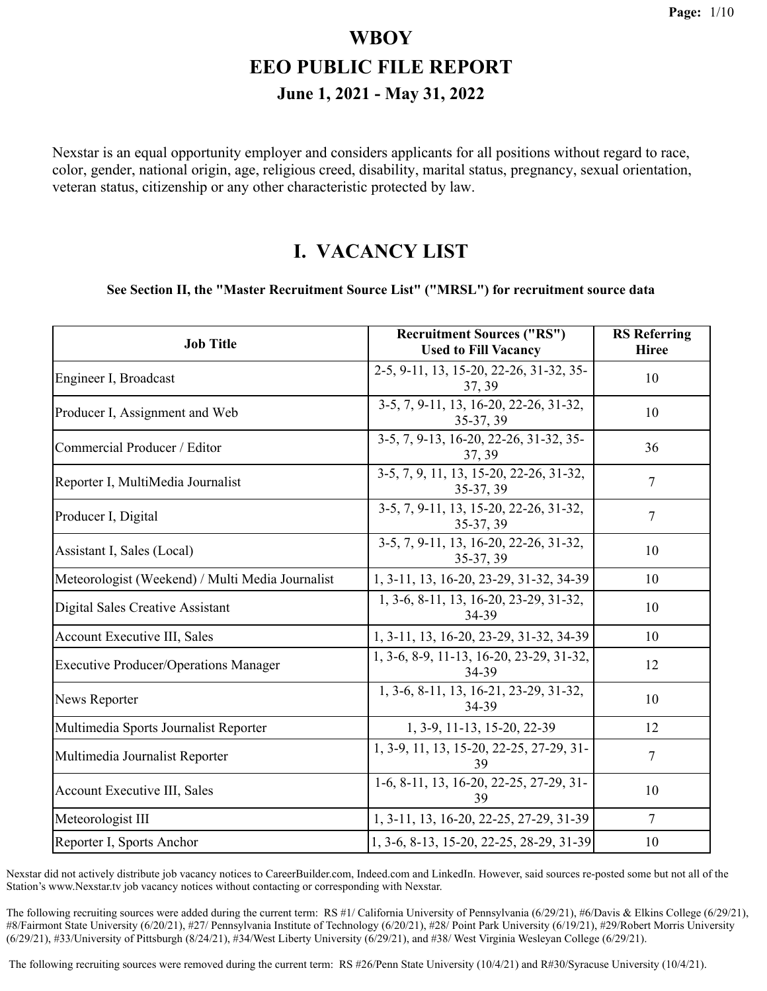Nexstar is an equal opportunity employer and considers applicants for all positions without regard to race, color, gender, national origin, age, religious creed, disability, marital status, pregnancy, sexual orientation, veteran status, citizenship or any other characteristic protected by law.

#### **I. VACANCY LIST**

#### **See Section II, the "Master Recruitment Source List" ("MRSL") for recruitment source data**

| <b>Job Title</b>                                 | <b>Recruitment Sources ("RS")</b><br><b>Used to Fill Vacancy</b> | <b>RS</b> Referring<br><b>Hiree</b> |
|--------------------------------------------------|------------------------------------------------------------------|-------------------------------------|
| Engineer I, Broadcast                            | 2-5, 9-11, 13, 15-20, 22-26, 31-32, 35-<br>37, 39                | 10                                  |
| Producer I, Assignment and Web                   | 3-5, 7, 9-11, 13, 16-20, 22-26, 31-32,<br>35-37, 39              | 10                                  |
| Commercial Producer / Editor                     | 3-5, 7, 9-13, 16-20, 22-26, 31-32, 35-<br>37, 39                 | 36                                  |
| Reporter I, MultiMedia Journalist                | 3-5, 7, 9, 11, 13, 15-20, 22-26, 31-32,<br>35-37, 39             | $\overline{7}$                      |
| Producer I, Digital                              | 3-5, 7, 9-11, 13, 15-20, 22-26, 31-32,<br>35-37, 39              | 7                                   |
| Assistant I, Sales (Local)                       | 3-5, 7, 9-11, 13, 16-20, 22-26, 31-32,<br>35-37, 39              | 10                                  |
| Meteorologist (Weekend) / Multi Media Journalist | 1, 3-11, 13, 16-20, 23-29, 31-32, 34-39                          | 10                                  |
| Digital Sales Creative Assistant                 | 1, 3-6, 8-11, 13, 16-20, 23-29, 31-32,<br>34-39                  | 10                                  |
| <b>Account Executive III, Sales</b>              | 1, 3-11, 13, 16-20, 23-29, 31-32, 34-39                          | 10                                  |
| <b>Executive Producer/Operations Manager</b>     | 1, 3-6, 8-9, 11-13, 16-20, 23-29, 31-32,<br>34-39                | 12                                  |
| News Reporter                                    | 1, 3-6, 8-11, 13, 16-21, 23-29, 31-32,<br>34-39                  | 10                                  |
| Multimedia Sports Journalist Reporter            | 1, 3-9, 11-13, 15-20, 22-39                                      | 12                                  |
| Multimedia Journalist Reporter                   | 1, 3-9, 11, 13, 15-20, 22-25, 27-29, 31-<br>39                   | 7                                   |
| <b>Account Executive III, Sales</b>              | 1-6, 8-11, 13, 16-20, 22-25, 27-29, 31-<br>39                    | 10                                  |
| Meteorologist III                                | 1, 3-11, 13, 16-20, 22-25, 27-29, 31-39                          | $\overline{7}$                      |
| Reporter I, Sports Anchor                        | 1, 3-6, 8-13, 15-20, 22-25, 28-29, 31-39                         | 10                                  |

Nexstar did not actively distribute job vacancy notices to CareerBuilder.com, Indeed.com and LinkedIn. However, said sources re-posted some but not all of the Station's www.Nexstar.tv job vacancy notices without contacting or corresponding with Nexstar.

The following recruiting sources were added during the current term: RS #1/ California University of Pennsylvania (6/29/21), #6/Davis & Elkins College (6/29/21), #8/Fairmont State University (6/20/21), #27/ Pennsylvania Institute of Technology (6/20/21), #28/ Point Park University (6/19/21), #29/Robert Morris University (6/29/21), #33/University of Pittsburgh (8/24/21), #34/West Liberty University (6/29/21), and #38/ West Virginia Wesleyan College (6/29/21).

The following recruiting sources were removed during the current term: RS #26/Penn State University (10/4/21) and R#30/Syracuse University (10/4/21).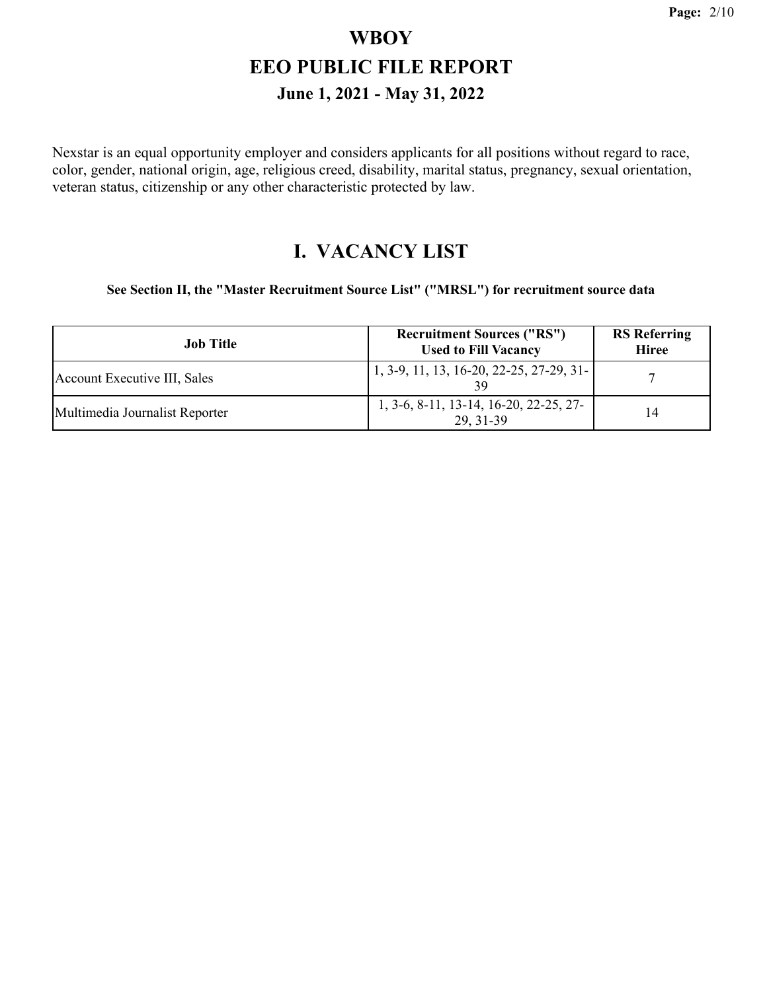Nexstar is an equal opportunity employer and considers applicants for all positions without regard to race, color, gender, national origin, age, religious creed, disability, marital status, pregnancy, sexual orientation, veteran status, citizenship or any other characteristic protected by law.

#### **I. VACANCY LIST**

**See Section II, the "Master Recruitment Source List" ("MRSL") for recruitment source data**

| <b>Job Title</b>               | <b>Recruitment Sources ("RS")</b><br><b>Used to Fill Vacancy</b> | <b>RS</b> Referring<br><b>Hiree</b> |
|--------------------------------|------------------------------------------------------------------|-------------------------------------|
| Account Executive III, Sales   | 1, 3-9, 11, 13, 16-20, 22-25, 27-29, 31-<br>39                   |                                     |
| Multimedia Journalist Reporter | 1, 3-6, 8-11, 13-14, 16-20, 22-25, 27-<br>29.31-39               | 14                                  |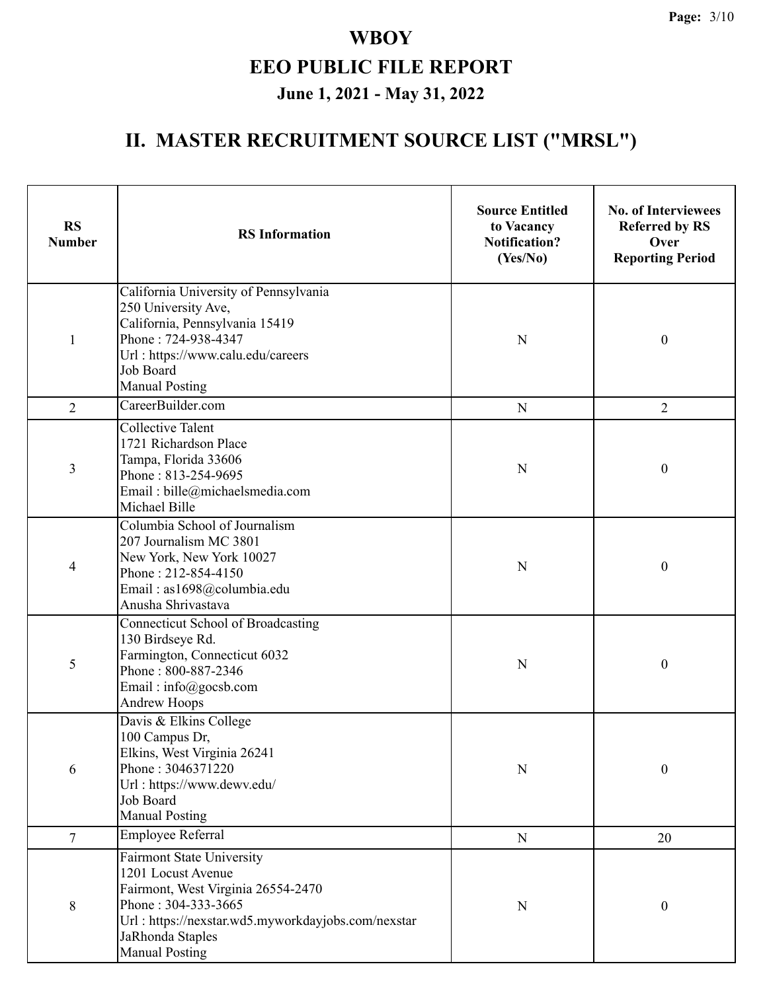| <b>RS</b><br><b>Number</b>                                                                                                                                            | <b>RS</b> Information                                                                                                                                                                                                  | <b>Source Entitled</b><br>to Vacancy<br><b>Notification?</b><br>(Yes/No) | <b>No. of Interviewees</b><br><b>Referred by RS</b><br>Over<br><b>Reporting Period</b> |
|-----------------------------------------------------------------------------------------------------------------------------------------------------------------------|------------------------------------------------------------------------------------------------------------------------------------------------------------------------------------------------------------------------|--------------------------------------------------------------------------|----------------------------------------------------------------------------------------|
| $\mathbf{1}$                                                                                                                                                          | California University of Pennsylvania<br>250 University Ave,<br>California, Pennsylvania 15419<br>Phone: 724-938-4347<br>Url: https://www.calu.edu/careers<br>Job Board<br><b>Manual Posting</b>                       | N                                                                        | $\boldsymbol{0}$                                                                       |
| $\overline{2}$                                                                                                                                                        | CareerBuilder.com                                                                                                                                                                                                      | ${\bf N}$                                                                | $\overline{2}$                                                                         |
| 3                                                                                                                                                                     | <b>Collective Talent</b><br>1721 Richardson Place<br>Tampa, Florida 33606<br>Phone: 813-254-9695<br>Email: bille@michaelsmedia.com<br>Michael Bille                                                                    | N                                                                        | $\boldsymbol{0}$                                                                       |
| 4                                                                                                                                                                     | Columbia School of Journalism<br>207 Journalism MC 3801<br>New York, New York 10027<br>Phone: 212-854-4150<br>Email: as1698@columbia.edu<br>Anusha Shrivastava                                                         | N                                                                        | $\boldsymbol{0}$                                                                       |
| 5                                                                                                                                                                     | <b>Connecticut School of Broadcasting</b><br>130 Birdseye Rd.<br>Farmington, Connecticut 6032<br>Phone: 800-887-2346<br>Email: info@gocsb.com<br><b>Andrew Hoops</b>                                                   | $\mathbf N$                                                              | $\boldsymbol{0}$                                                                       |
| Davis & Elkins College<br>100 Campus Dr,<br>Elkins, West Virginia 26241<br>Phone: 3046371220<br>6<br>Url: https://www.dewv.edu/<br>Job Board<br><b>Manual Posting</b> |                                                                                                                                                                                                                        | ${\bf N}$                                                                | $\boldsymbol{0}$                                                                       |
| $\tau$                                                                                                                                                                | <b>Employee Referral</b>                                                                                                                                                                                               | ${\bf N}$                                                                | 20                                                                                     |
| $8\,$                                                                                                                                                                 | <b>Fairmont State University</b><br>1201 Locust Avenue<br>Fairmont, West Virginia 26554-2470<br>Phone: 304-333-3665<br>Url: https://nexstar.wd5.myworkdayjobs.com/nexstar<br>JaRhonda Staples<br><b>Manual Posting</b> | ${\bf N}$                                                                | $\boldsymbol{0}$                                                                       |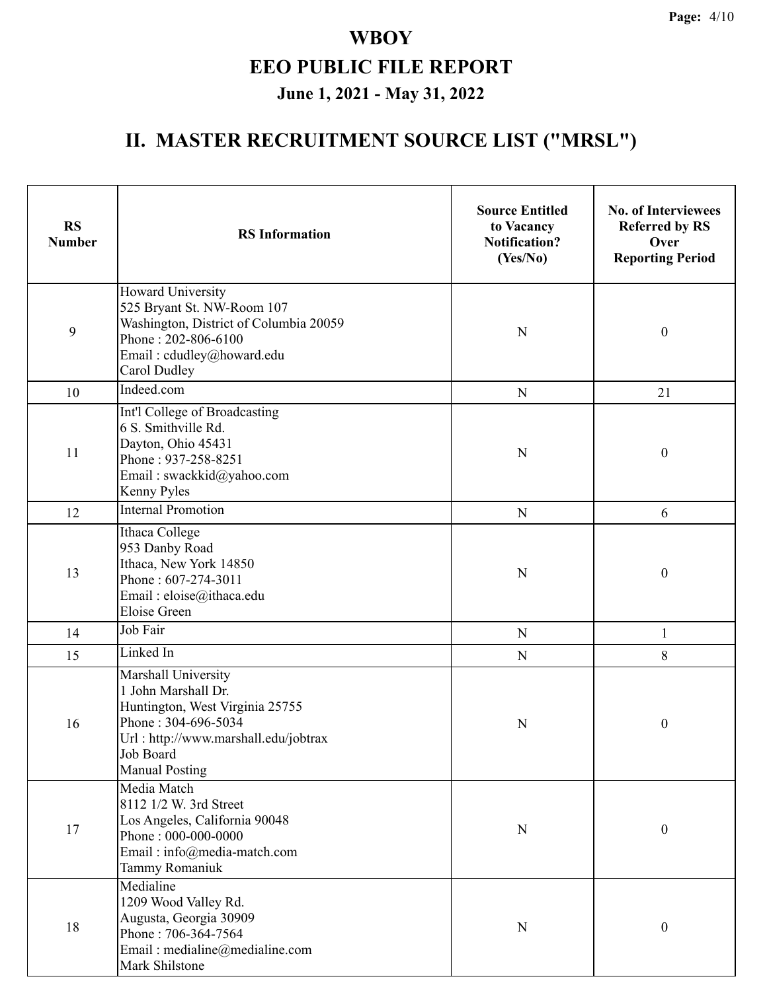| <b>RS</b><br><b>Number</b> | <b>RS</b> Information                                                                                                                                                              | <b>Source Entitled</b><br>to Vacancy<br><b>Notification?</b><br>(Yes/No) | <b>No. of Interviewees</b><br><b>Referred by RS</b><br>Over<br><b>Reporting Period</b> |
|----------------------------|------------------------------------------------------------------------------------------------------------------------------------------------------------------------------------|--------------------------------------------------------------------------|----------------------------------------------------------------------------------------|
| 9                          | Howard University<br>525 Bryant St. NW-Room 107<br>Washington, District of Columbia 20059<br>Phone: 202-806-6100<br>Email: cdudley@howard.edu<br>Carol Dudley                      | $\mathbf N$                                                              | $\boldsymbol{0}$                                                                       |
| 10                         | Indeed.com                                                                                                                                                                         | ${\bf N}$                                                                | 21                                                                                     |
| 11                         | Int'l College of Broadcasting<br>6 S. Smithville Rd.<br>Dayton, Ohio 45431<br>Phone: 937-258-8251<br>Email: swackkid@yahoo.com<br>Kenny Pyles                                      | N                                                                        | $\boldsymbol{0}$                                                                       |
| 12                         | <b>Internal Promotion</b>                                                                                                                                                          | ${\bf N}$                                                                | 6                                                                                      |
| 13                         | Ithaca College<br>953 Danby Road<br>Ithaca, New York 14850<br>Phone: 607-274-3011<br>Email: eloise@ithaca.edu<br><b>Eloise Green</b>                                               | $\mathbf N$                                                              | $\boldsymbol{0}$                                                                       |
| 14                         | Job Fair                                                                                                                                                                           | ${\bf N}$                                                                | $\mathbf{1}$                                                                           |
| 15                         | Linked In                                                                                                                                                                          | ${\bf N}$                                                                | 8                                                                                      |
| 16                         | Marshall University<br>1 John Marshall Dr.<br>Huntington, West Virginia 25755<br>Phone: 304-696-5034<br>Url: http://www.marshall.edu/jobtrax<br>Job Board<br><b>Manual Posting</b> | N                                                                        | $\boldsymbol{0}$                                                                       |
| 17                         | Media Match<br>8112 1/2 W. 3rd Street<br>Los Angeles, California 90048<br>Phone: 000-000-0000<br>Email: info@media-match.com<br>Tammy Romaniuk                                     | $\mathbf N$                                                              | $\boldsymbol{0}$                                                                       |
| 18                         | Medialine<br>1209 Wood Valley Rd.<br>Augusta, Georgia 30909<br>Phone: 706-364-7564<br>Email: medialine@medialine.com<br>Mark Shilstone                                             | $\mathbf N$                                                              | $\boldsymbol{0}$                                                                       |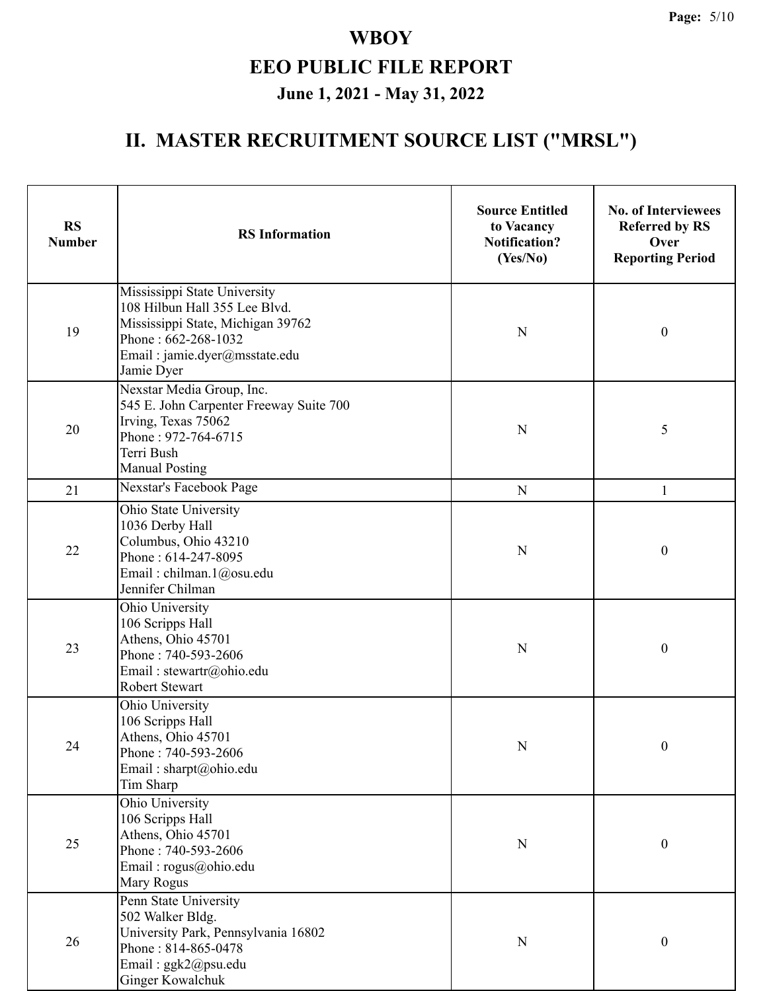| <b>RS</b><br><b>Number</b> | <b>RS</b> Information                                                                                                                                                    | <b>Source Entitled</b><br>to Vacancy<br><b>Notification?</b><br>(Yes/No) | <b>No. of Interviewees</b><br><b>Referred by RS</b><br>Over<br><b>Reporting Period</b> |
|----------------------------|--------------------------------------------------------------------------------------------------------------------------------------------------------------------------|--------------------------------------------------------------------------|----------------------------------------------------------------------------------------|
| 19                         | Mississippi State University<br>108 Hilbun Hall 355 Lee Blvd.<br>Mississippi State, Michigan 39762<br>Phone: 662-268-1032<br>Email: jamie.dyer@msstate.edu<br>Jamie Dyer | $\mathbf N$                                                              | $\boldsymbol{0}$                                                                       |
| 20                         | Nexstar Media Group, Inc.<br>545 E. John Carpenter Freeway Suite 700<br>Irving, Texas 75062<br>Phone: 972-764-6715<br>Terri Bush<br><b>Manual Posting</b>                |                                                                          | 5                                                                                      |
| 21                         | Nexstar's Facebook Page                                                                                                                                                  | ${\bf N}$                                                                | $\mathbf{1}$                                                                           |
| 22                         | Ohio State University<br>1036 Derby Hall<br>Columbus, Ohio 43210<br>Phone: 614-247-8095<br>Email: chilman.1@osu.edu<br>Jennifer Chilman                                  |                                                                          | $\boldsymbol{0}$                                                                       |
| 23                         | Ohio University<br>106 Scripps Hall<br>Athens, Ohio 45701<br>Phone: 740-593-2606<br>Email: stewartr@ohio.edu<br>Robert Stewart                                           | $\mathbf N$                                                              | $\boldsymbol{0}$                                                                       |
| 24                         | Ohio University<br>106 Scripps Hall<br>Athens, Ohio 45701<br>Phone: 740-593-2606<br>Email: sharpt@ohio.edu<br>Tim Sharp                                                  | ${\bf N}$                                                                | $\boldsymbol{0}$                                                                       |
| 25                         | Ohio University<br>106 Scripps Hall<br>Athens, Ohio 45701<br>Phone: 740-593-2606<br>Email: rogus@ohio.edu<br>Mary Rogus                                                  | $\mathbf N$                                                              | $\boldsymbol{0}$                                                                       |
| 26                         | Penn State University<br>502 Walker Bldg.<br>University Park, Pennsylvania 16802<br>Phone: 814-865-0478<br>Email: ggk2@psu.edu<br><b>Ginger Kowalchuk</b>                | $\mathbf N$                                                              | $\boldsymbol{0}$                                                                       |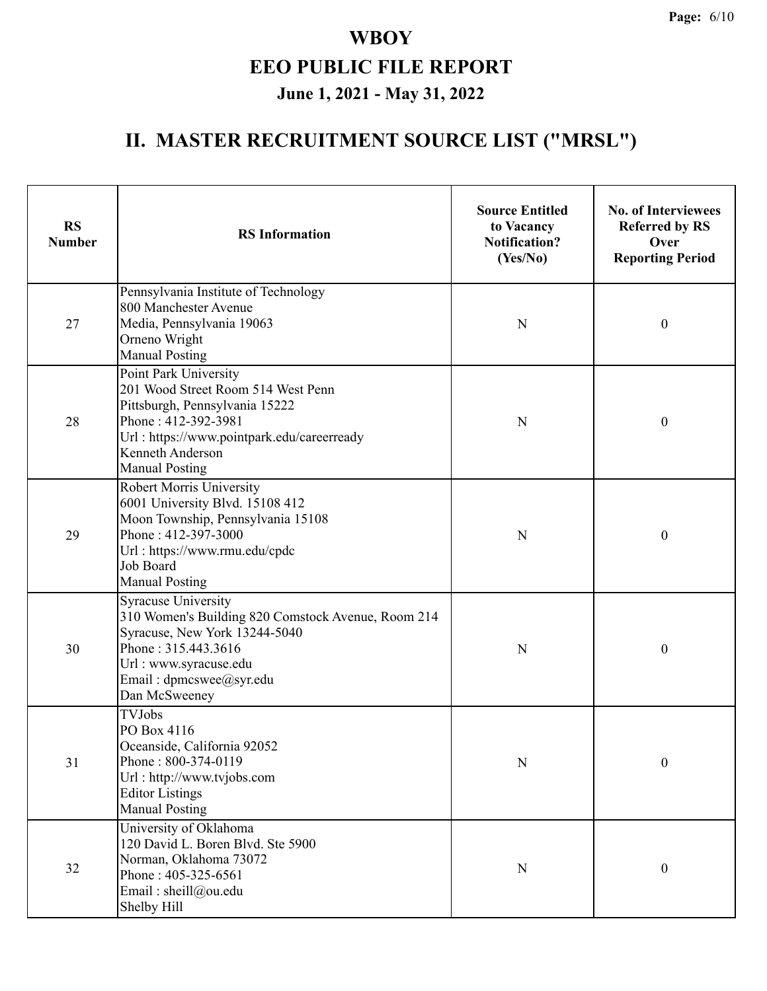| <b>RS</b><br><b>Number</b> | <b>RS</b> Information                                                                                                                                                                                           | <b>Source Entitled</b><br>to Vacancy<br><b>Notification?</b><br>(Yes/No) | <b>No. of Interviewees</b><br><b>Referred by RS</b><br>Over<br><b>Reporting Period</b> |  |
|----------------------------|-----------------------------------------------------------------------------------------------------------------------------------------------------------------------------------------------------------------|--------------------------------------------------------------------------|----------------------------------------------------------------------------------------|--|
| 27                         | Pennsylvania Institute of Technology<br>800 Manchester Avenue<br>Media, Pennsylvania 19063<br>Orneno Wright<br><b>Manual Posting</b>                                                                            | $\mathbf N$                                                              | $\boldsymbol{0}$                                                                       |  |
| 28                         | Point Park University<br>201 Wood Street Room 514 West Penn<br>Pittsburgh, Pennsylvania 15222<br>Phone: 412-392-3981<br>Url: https://www.pointpark.edu/careerready<br>Kenneth Anderson<br><b>Manual Posting</b> | $\mathbf N$                                                              | $\boldsymbol{0}$                                                                       |  |
| 29                         | Robert Morris University<br>6001 University Blvd. 15108 412<br>Moon Township, Pennsylvania 15108<br>Phone: 412-397-3000<br>Url: https://www.rmu.edu/cpdc<br>Job Board<br><b>Manual Posting</b>                  | N                                                                        | $\boldsymbol{0}$                                                                       |  |
| 30                         | <b>Syracuse University</b><br>310 Women's Building 820 Comstock Avenue, Room 214<br>Syracuse, New York 13244-5040<br>Phone: 315.443.3616<br>Url: www.syracuse.edu<br>Email: dpmcswee@syr.edu<br>Dan McSweeney   | ${\bf N}$                                                                | $\boldsymbol{0}$                                                                       |  |
| 31                         | <b>TVJobs</b><br>PO Box 4116<br>Oceanside, California 92052<br>Phone: 800-374-0119<br>Url: http://www.tvjobs.com<br><b>Editor Listings</b><br><b>Manual Posting</b>                                             | ${\bf N}$                                                                | $\boldsymbol{0}$                                                                       |  |
| 32                         | University of Oklahoma<br>120 David L. Boren Blvd. Ste 5900<br>Norman, Oklahoma 73072<br>Phone: 405-325-6561<br>Email: sheill@ou.edu<br>Shelby Hill                                                             | ${\bf N}$                                                                | $\boldsymbol{0}$                                                                       |  |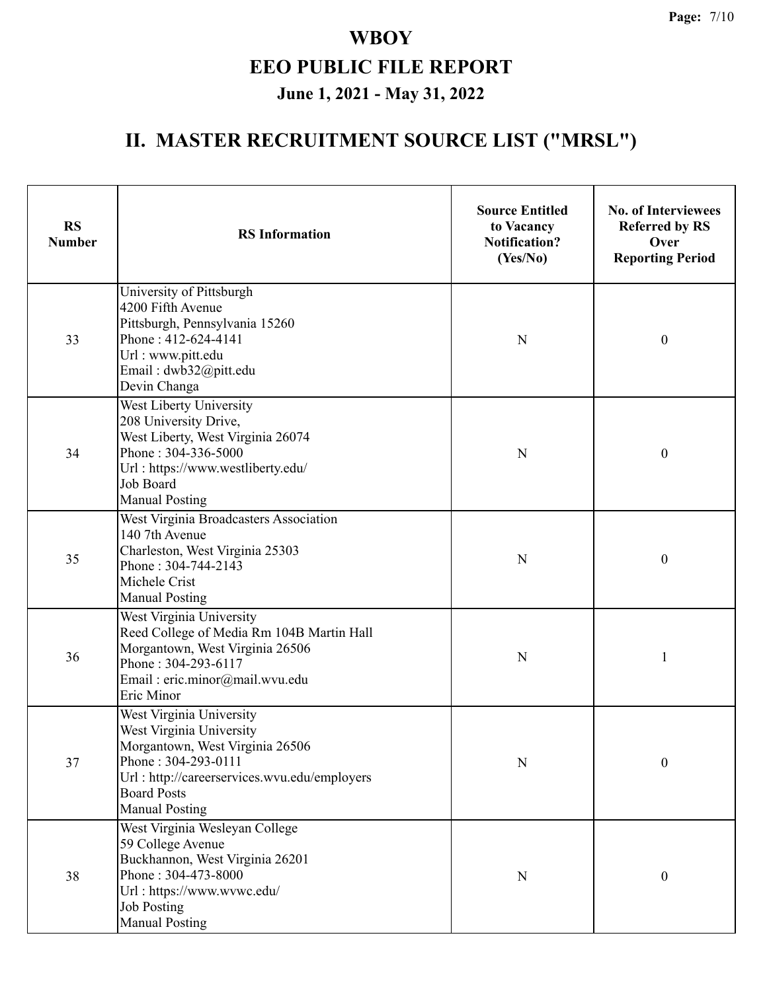| <b>RS</b><br><b>Number</b> | <b>RS</b> Information                                                                                                                                                                                         | <b>Source Entitled</b><br>to Vacancy<br><b>Notification?</b><br>(Yes/No) | <b>No. of Interviewees</b><br><b>Referred by RS</b><br>Over<br><b>Reporting Period</b> |
|----------------------------|---------------------------------------------------------------------------------------------------------------------------------------------------------------------------------------------------------------|--------------------------------------------------------------------------|----------------------------------------------------------------------------------------|
| 33                         | University of Pittsburgh<br>4200 Fifth Avenue<br>Pittsburgh, Pennsylvania 15260<br>Phone: 412-624-4141<br>Url : www.pitt.edu<br>Email: dwb32@pitt.edu<br>Devin Changa                                         | N                                                                        | $\boldsymbol{0}$                                                                       |
| 34                         | West Liberty University<br>208 University Drive,<br>West Liberty, West Virginia 26074<br>Phone: 304-336-5000<br>Url: https://www.westliberty.edu/<br>Job Board<br><b>Manual Posting</b>                       | N                                                                        | $\boldsymbol{0}$                                                                       |
| 35                         | West Virginia Broadcasters Association<br>140 7th Avenue<br>Charleston, West Virginia 25303<br>Phone: 304-744-2143<br>Michele Crist<br><b>Manual Posting</b>                                                  | N                                                                        | $\boldsymbol{0}$                                                                       |
| 36                         | West Virginia University<br>Reed College of Media Rm 104B Martin Hall<br>Morgantown, West Virginia 26506<br>Phone: 304-293-6117<br>Email: eric.minor@mail.wvu.edu<br>Eric Minor                               | ${\bf N}$                                                                |                                                                                        |
| 37                         | West Virginia University<br>West Virginia University<br>Morgantown, West Virginia 26506<br>Phone: 304-293-0111<br>Url: http://careerservices.wvu.edu/employers<br><b>Board Posts</b><br><b>Manual Posting</b> | ${\bf N}$                                                                | $\boldsymbol{0}$                                                                       |
| 38                         | West Virginia Wesleyan College<br>59 College Avenue<br>Buckhannon, West Virginia 26201<br>Phone: 304-473-8000<br>Url: https://www.wvwc.edu/<br><b>Job Posting</b><br><b>Manual Posting</b>                    | $\mathbf N$                                                              | $\boldsymbol{0}$                                                                       |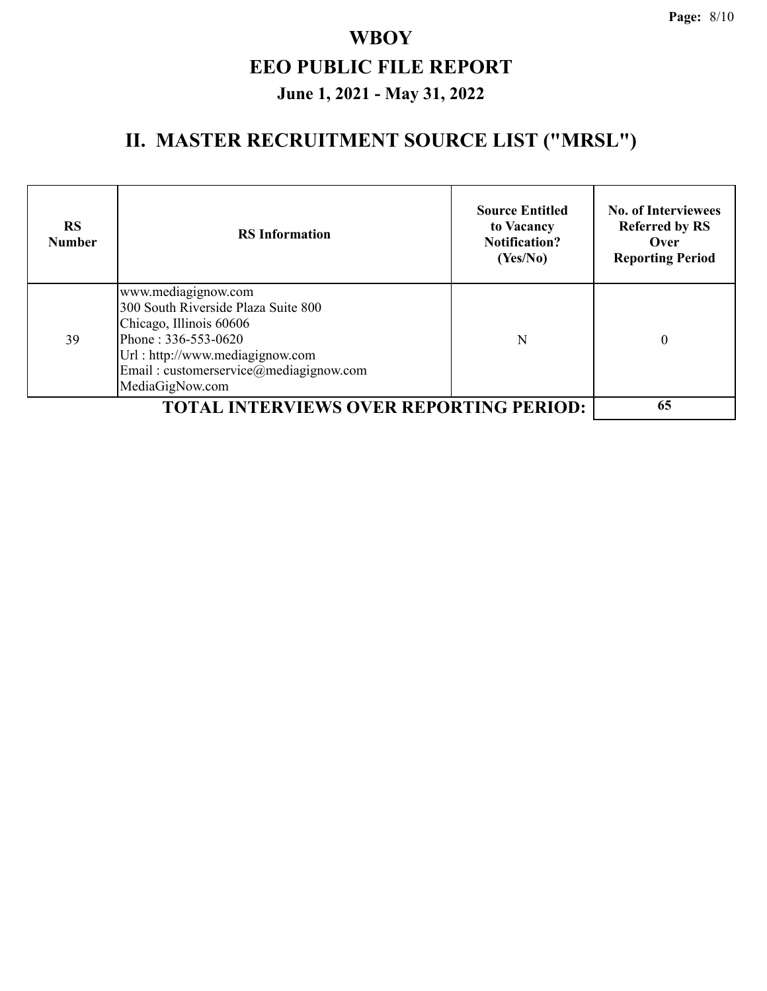| <b>RS</b><br><b>Number</b> | <b>RS</b> Information                                                                                                                                                                                        | <b>Source Entitled</b><br>to Vacancy<br><b>Notification?</b><br>(Yes/No) | <b>No. of Interviewees</b><br><b>Referred by RS</b><br>Over<br><b>Reporting Period</b> |
|----------------------------|--------------------------------------------------------------------------------------------------------------------------------------------------------------------------------------------------------------|--------------------------------------------------------------------------|----------------------------------------------------------------------------------------|
| 39                         | www.mediagignow.com<br>300 South Riverside Plaza Suite 800<br>Chicago, Illinois 60606<br>Phone: 336-553-0620<br>Url: http://www.mediagignow.com<br>Email: customerservice@mediagignow.com<br>MediaGigNow.com | N                                                                        | 0                                                                                      |
|                            | <b>TOTAL INTERVIEWS OVER REPORTING PERIOD:</b>                                                                                                                                                               |                                                                          | 65                                                                                     |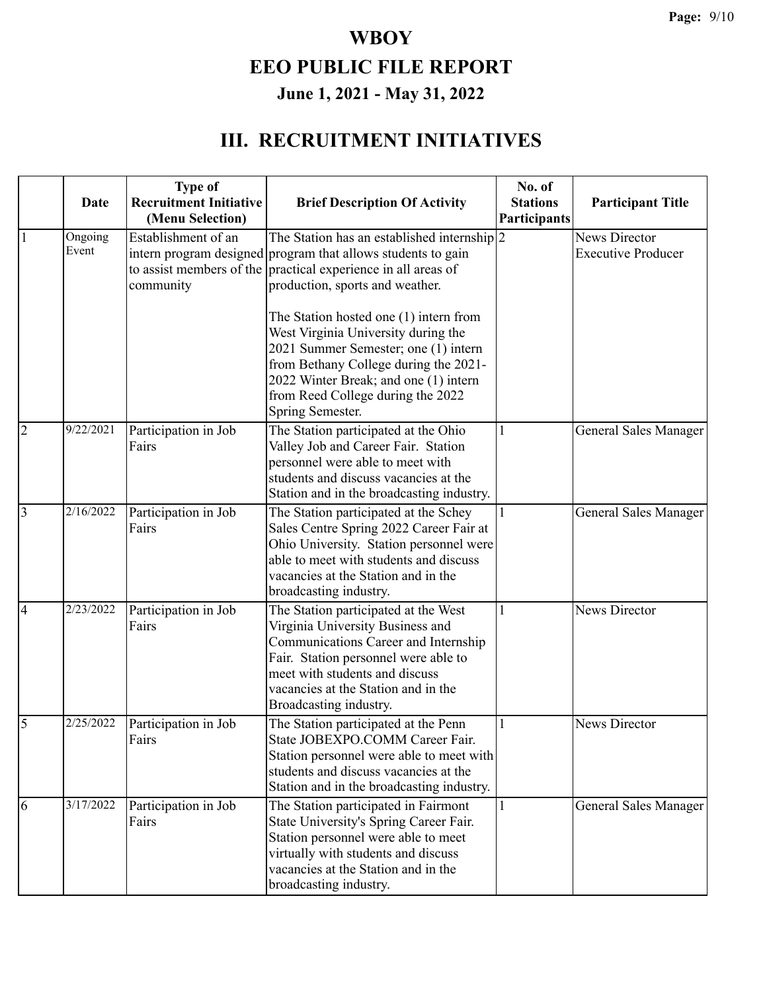#### **III. RECRUITMENT INITIATIVES**

|                | Date             | <b>Type of</b><br><b>Recruitment Initiative</b><br>(Menu Selection) | <b>Brief Description Of Activity</b>                                                                                                                                                                                                                             | No. of<br><b>Stations</b><br>Participants | <b>Participant Title</b>                   |
|----------------|------------------|---------------------------------------------------------------------|------------------------------------------------------------------------------------------------------------------------------------------------------------------------------------------------------------------------------------------------------------------|-------------------------------------------|--------------------------------------------|
| $\mathbf{1}$   | Ongoing<br>Event | Establishment of an<br>community                                    | The Station has an established internship $ 2$<br>intern program designed program that allows students to gain<br>to assist members of the practical experience in all areas of<br>production, sports and weather.                                               |                                           | News Director<br><b>Executive Producer</b> |
|                |                  |                                                                     | The Station hosted one (1) intern from<br>West Virginia University during the<br>2021 Summer Semester; one (1) intern<br>from Bethany College during the 2021-<br>2022 Winter Break; and one (1) intern<br>from Reed College during the 2022<br>Spring Semester. |                                           |                                            |
| $\overline{2}$ | 9/22/2021        | Participation in Job<br>Fairs                                       | The Station participated at the Ohio<br>Valley Job and Career Fair. Station<br>personnel were able to meet with<br>students and discuss vacancies at the<br>Station and in the broadcasting industry.                                                            | 1                                         | General Sales Manager                      |
| $\overline{3}$ | 2/16/2022        | Participation in Job<br>Fairs                                       | The Station participated at the Schey<br>Sales Centre Spring 2022 Career Fair at<br>Ohio University. Station personnel were<br>able to meet with students and discuss<br>vacancies at the Station and in the<br>broadcasting industry.                           | 1                                         | General Sales Manager                      |
| $\overline{4}$ | 2/23/2022        | Participation in Job<br>Fairs                                       | The Station participated at the West<br>Virginia University Business and<br>Communications Career and Internship<br>Fair. Station personnel were able to<br>meet with students and discuss<br>vacancies at the Station and in the<br>Broadcasting industry.      | 1                                         | News Director                              |
| 5              | 2/25/2022        | Participation in Job<br>Fairs                                       | The Station participated at the Penn<br>State JOBEXPO.COMM Career Fair.<br>Station personnel were able to meet with<br>students and discuss vacancies at the<br>Station and in the broadcasting industry.                                                        | 1                                         | News Director                              |
| 6              | 3/17/2022        | Participation in Job<br>Fairs                                       | The Station participated in Fairmont<br>State University's Spring Career Fair.<br>Station personnel were able to meet<br>virtually with students and discuss<br>vacancies at the Station and in the<br>broadcasting industry.                                    | 1                                         | General Sales Manager                      |